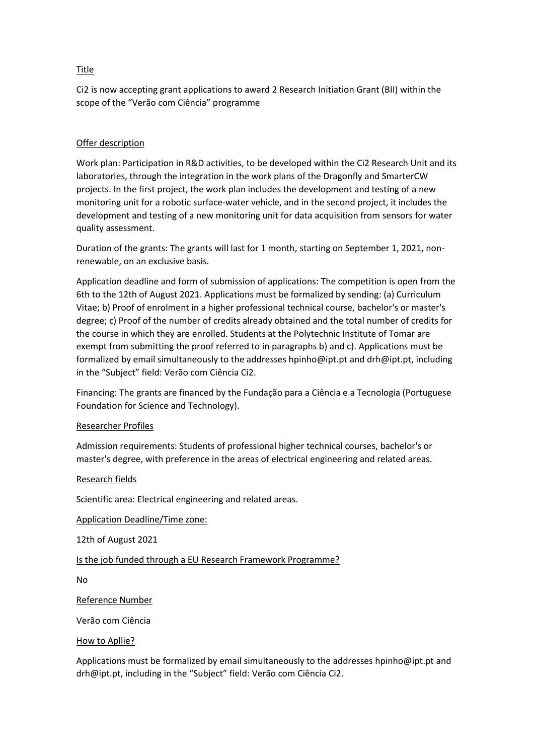## Title

Ci2 is now accepting grant applications to award 2 Research Initiation Grant (BII) within the scope of the "Verão com Ciência" programme

## Offer description

Work plan: Participation in R&D activities, to be developed within the Ci2 Research Unit and its laboratories, through the integration in the work plans of the Dragonfly and SmarterCW projects. In the first project, the work plan includes the development and testing of a new monitoring unit for a robotic surface-water vehicle, and in the second project, it includes the development and testing of a new monitoring unit for data acquisition from sensors for water quality assessment.

Duration of the grants: The grants will last for 1 month, starting on September 1, 2021, nonrenewable, on an exclusive basis.

Application deadline and form of submission of applications: The competition is open from the 6th to the 12th of August 2021. Applications must be formalized by sending: (a) Curriculum Vitae; b) Proof of enrolment in a higher professional technical course, bachelor's or master's degree; c) Proof of the number of credits already obtained and the total number of credits for the course in which they are enrolled. Students at the Polytechnic Institute of Tomar are exempt from submitting the proof referred to in paragraphs b) and c). Applications must be formalized by email simultaneously to the addresses hpinho@ipt.pt and drh@ipt.pt, including in the "Subject" field: Verão com Ciência Ci2.

Financing: The grants are financed by the Fundação para a Ciência e a Tecnologia (Portuguese Foundation for Science and Technology).

#### Researcher Profiles

Admission requirements: Students of professional higher technical courses, bachelor's or master's degree, with preference in the areas of electrical engineering and related areas.

#### Research fields

Scientific area: Electrical engineering and related areas.

Application Deadline/Time zone:

12th of August 2021

# Is the job funded through a EU Research Framework Programme?

No

Reference Number

Verão com Ciência

#### How to Apllie?

Applications must be formalized by email simultaneously to the addresses hpinho@ipt.pt and drh@ipt.pt, including in the "Subject" field: Verão com Ciência Ci2.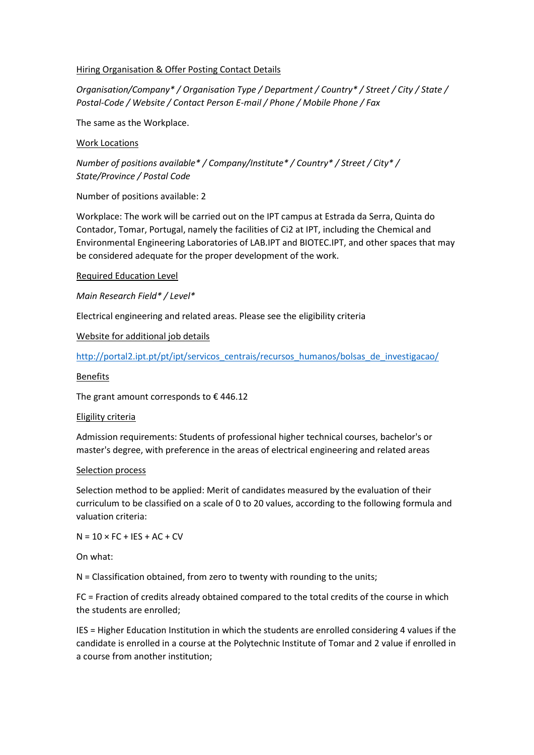#### Hiring Organisation & Offer Posting Contact Details

*Organisation/Company\* / Organisation Type / Department / Country\* / Street / City / State / Postal-Code / Website / Contact Person E-mail / Phone / Mobile Phone / Fax*

The same as the Workplace.

### Work Locations

*Number of positions available\* / Company/Institute\* / Country\* / Street / City\* / State/Province / Postal Code* 

Number of positions available: 2

Workplace: The work will be carried out on the IPT campus at Estrada da Serra, Quinta do Contador, Tomar, Portugal, namely the facilities of Ci2 at IPT, including the Chemical and Environmental Engineering Laboratories of LAB.IPT and BIOTEC.IPT, and other spaces that may be considered adequate for the proper development of the work.

Required Education Level

*Main Research Field\* / Level\**

Electrical engineering and related areas. Please see the eligibility criteria

Website for additional job details

[http://portal2.ipt.pt/pt/ipt/servicos\\_centrais/recursos\\_humanos/bolsas\\_de\\_investigacao/](http://portal2.ipt.pt/pt/ipt/servicos_centrais/recursos_humanos/bolsas_de_investigacao/)

Benefits

The grant amount corresponds to  $\epsilon$  446.12

#### Eligility criteria

Admission requirements: Students of professional higher technical courses, bachelor's or master's degree, with preference in the areas of electrical engineering and related areas

#### Selection process

Selection method to be applied: Merit of candidates measured by the evaluation of their curriculum to be classified on a scale of 0 to 20 values, according to the following formula and valuation criteria:

 $N = 10 \times FC + IFS + AC + CV$ 

On what:

N = Classification obtained, from zero to twenty with rounding to the units;

FC = Fraction of credits already obtained compared to the total credits of the course in which the students are enrolled;

IES = Higher Education Institution in which the students are enrolled considering 4 values if the candidate is enrolled in a course at the Polytechnic Institute of Tomar and 2 value if enrolled in a course from another institution;